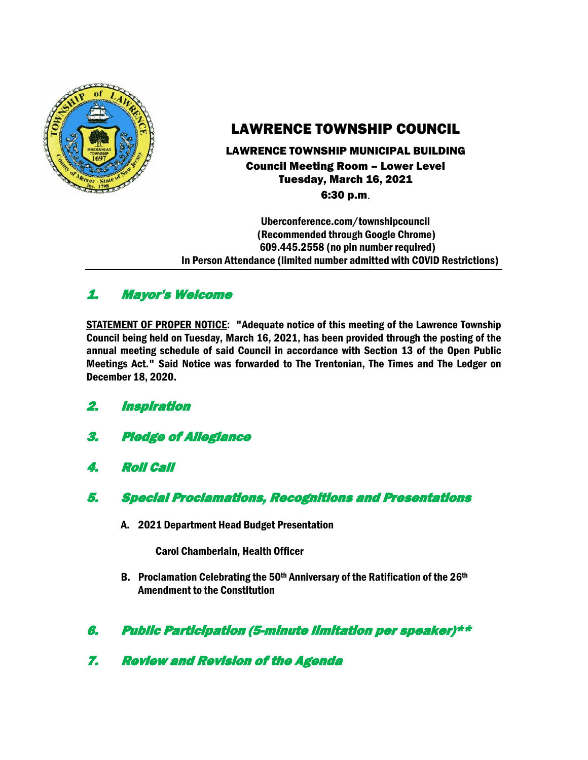

# LAWRENCE TOWNSHIP COUNCIL

### LAWRENCE TOWNSHIP MUNICIPAL BUILDING Council Meeting Room – Lower Level Tuesday, March 16, 2021 6:30 p.m.

 Uberconference.com/townshipcouncil (Recommended through Google Chrome) 609.445.2558 (no pin number required) In Person Attendance (limited number admitted with COVID Restrictions)

# 1. Mayor's Welcome

STATEMENT OF PROPER NOTICE: "Adequate notice of this meeting of the Lawrence Township Council being held on Tuesday, March 16, 2021, has been provided through the posting of the annual meeting schedule of said Council in accordance with Section 13 of the Open Public Meetings Act." Said Notice was forwarded to The Trentonian, The Times and The Ledger on December 18, 2020.

- 2. Inspiration
- 3. Pledge of Allegiance
- 4. Roll Call
- 5. Special Proclamations, Recognitions and Presentations
	- A. 2021 Department Head Budget Presentation

Carol Chamberlain, Health Officer

- B. Proclamation Celebrating the  $50<sup>th</sup>$  Anniversary of the Ratification of the  $26<sup>th</sup>$ Amendment to the Constitution
- 6. Public Participation (5-minute limitation per speaker)\*\*
- 7. Review and Revision of the Agenda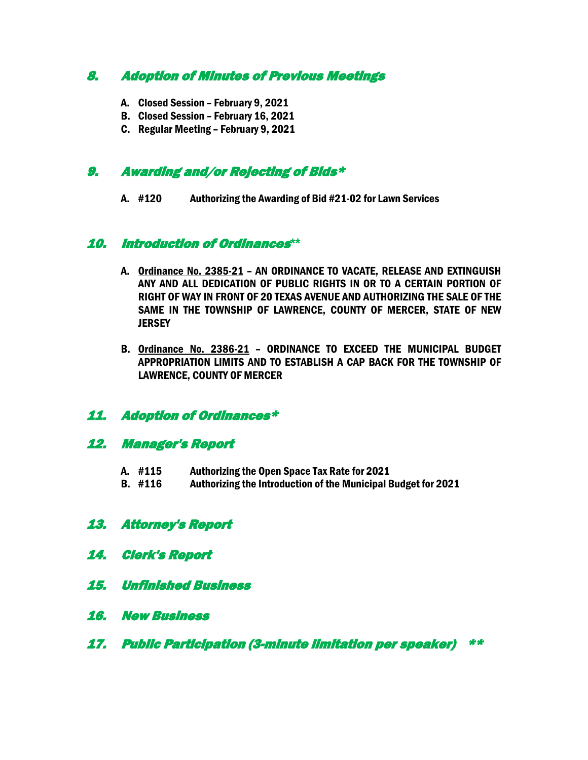# 8. Adoption of Minutes of Previous Meetings

- A. Closed Session February 9, 2021
- B. Closed Session February 16, 2021
- C. Regular Meeting February 9, 2021

### 9. Awarding and/or Rejecting of Bids\*

A. #120 Authorizing the Awarding of Bid #21-02 for Lawn Services

### 10. Introduction of Ordinances**\*\***

- A. Ordinance No. 2385-21 AN ORDINANCE TO VACATE, RELEASE AND EXTINGUISH ANY AND ALL DEDICATION OF PUBLIC RIGHTS IN OR TO A CERTAIN PORTION OF RIGHT OF WAY IN FRONT OF 20 TEXAS AVENUE AND AUTHORIZING THE SALE OF THE SAME IN THE TOWNSHIP OF LAWRENCE, COUNTY OF MERCER, STATE OF NEW **JERSEY**
- B. Ordinance No. 2386-21 ORDINANCE TO EXCEED THE MUNICIPAL BUDGET APPROPRIATION LIMITS AND TO ESTABLISH A CAP BACK FOR THE TOWNSHIP OF LAWRENCE, COUNTY OF MERCER

### 11. Adoption of Ordinances\*

### 12. Manager's Report

- A. #115 Authorizing the Open Space Tax Rate for 2021
- B. #116 Authorizing the Introduction of the Municipal Budget for 2021

# 13. Attorney's Report

- 14. Clerk's Report
- 15. Unfinished Business
- 16. New Business
- 17. Public Participation (3-minute limitation per speaker) \*\*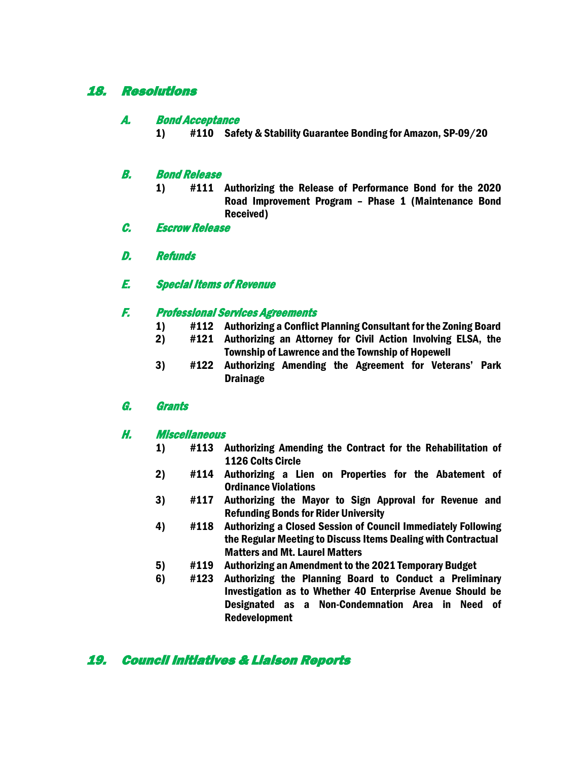## 18. Resolutions

#### A. Bond Acceptance

1) #110 Safety & Stability Guarantee Bonding for Amazon, SP-09/20

#### B. Bond Release

- 1) #111 Authorizing the Release of Performance Bond for the 2020 Road Improvement Program – Phase 1 (Maintenance Bond Received)
- C. Escrow Release
- D. Refunds
- E. Special Items of Revenue

#### F. Professional Services Agreements

- 1) #112 Authorizing a Conflict Planning Consultant for the Zoning Board<br>2) #121 Authorizing an Attornev for Civil Action Involving ELSA, the
- #121 Authorizing an Attorney for Civil Action Involving ELSA, the Township of Lawrence and the Township of Hopewell
- 3) #122 Authorizing Amending the Agreement for Veterans' Park Drainage

#### G. Grants

#### H. Miscellaneous

- 1) #113 Authorizing Amending the Contract for the Rehabilitation of 1126 Colts Circle
- 2) #114 Authorizing a Lien on Properties for the Abatement of Ordinance Violations
- 3) #117 Authorizing the Mayor to Sign Approval for Revenue and Refunding Bonds for Rider University
- 4) #118 Authorizing a Closed Session of Council Immediately Following the Regular Meeting to Discuss Items Dealing with Contractual Matters and Mt. Laurel Matters
- 5) #119 Authorizing an Amendment to the 2021 Temporary Budget
- 6) #123 Authorizing the Planning Board to Conduct a Preliminary Investigation as to Whether 40 Enterprise Avenue Should be Designated as a Non-Condemnation Area in Need of Redevelopment

# 19. Council Initiatives & Liaison Reports